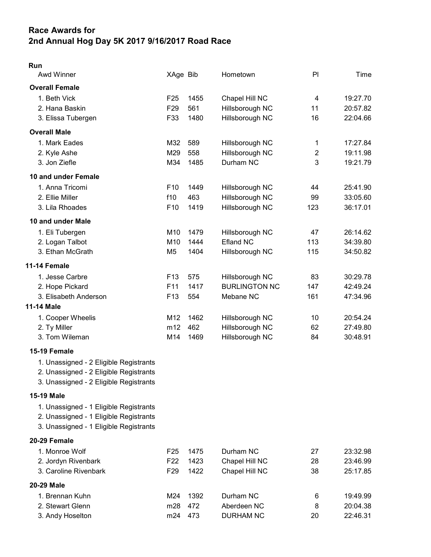## Race Awards for 2nd Annual Hog Day 5K 2017 9/16/2017 Road Race

## Run

| Awd Winner            | XAge Bib        |      | Hometown             | PI             | Time     |
|-----------------------|-----------------|------|----------------------|----------------|----------|
| <b>Overall Female</b> |                 |      |                      |                |          |
| 1. Beth Vick          | F <sub>25</sub> | 1455 | Chapel Hill NC       | 4              | 19:27.70 |
| 2. Hana Baskin        | F <sub>29</sub> | 561  | Hillsborough NC      | 11             | 20:57.82 |
| 3. Elissa Tubergen    | F33             | 1480 | Hillsborough NC      | 16             | 22:04.66 |
| <b>Overall Male</b>   |                 |      |                      |                |          |
| 1. Mark Eades         | M32             | 589  | Hillsborough NC      | 1              | 17:27.84 |
| 2. Kyle Ashe          | M29             | 558  | Hillsborough NC      | $\overline{2}$ | 19:11.98 |
| 3. Jon Ziefle         | M34             | 1485 | Durham NC            | 3              | 19:21.79 |
| 10 and under Female   |                 |      |                      |                |          |
| 1. Anna Tricomi       | F <sub>10</sub> | 1449 | Hillsborough NC      | 44             | 25:41.90 |
| 2. Ellie Miller       | f10             | 463  | Hillsborough NC      | 99             | 33:05.60 |
| 3. Lila Rhoades       | F <sub>10</sub> | 1419 | Hillsborough NC      | 123            | 36:17.01 |
| 10 and under Male     |                 |      |                      |                |          |
| 1. Eli Tubergen       | M10             | 1479 | Hillsborough NC      | 47             | 26:14.62 |
| 2. Logan Talbot       | M10             | 1444 | <b>Efland NC</b>     | 113            | 34:39.80 |
| 3. Ethan McGrath      | M <sub>5</sub>  | 1404 | Hillsborough NC      | 115            | 34:50.82 |
| 11-14 Female          |                 |      |                      |                |          |
| 1. Jesse Carbre       | F <sub>13</sub> | 575  | Hillsborough NC      | 83             | 30:29.78 |
| 2. Hope Pickard       | F <sub>11</sub> | 1417 | <b>BURLINGTON NC</b> | 147            | 42:49.24 |
| 3. Elisabeth Anderson | F <sub>13</sub> | 554  | Mebane NC            | 161            | 47:34.96 |
| 11-14 Male            |                 |      |                      |                |          |
| 1. Cooper Wheelis     | M12             | 1462 | Hillsborough NC      | 10             | 20:54.24 |
| 2. Ty Miller          | m12             | 462  | Hillsborough NC      | 62             | 27:49.80 |
| 3. Tom Wileman        | M14             | 1469 | Hillsborough NC      | 84             | 30:48.91 |
| 15-19 Female          |                 |      |                      |                |          |

1. Unassigned - 2 Eligible Registrants

2. Unassigned - 2 Eligible Registrants

3. Unassigned - 2 Eligible Registrants

## 15-19 Male

- 1. Unassigned 1 Eligible Registrants
- 2. Unassigned 1 Eligible Registrants
- 3. Unassigned 1 Eligible Registrants

## 20-29 Female

| 1. Monroe Wolf        | F <sub>25</sub> | 1475 | Durham NC        | 27 | 23:32.98 |
|-----------------------|-----------------|------|------------------|----|----------|
| 2. Jordyn Rivenbark   | F <sub>22</sub> | 1423 | Chapel Hill NC   | 28 | 23:46.99 |
| 3. Caroline Rivenbark | F <sub>29</sub> | 1422 | Chapel Hill NC   | 38 | 25:17.85 |
| 20-29 Male            |                 |      |                  |    |          |
| 1. Brennan Kuhn       | M24             | 1392 | Durham NC        | 6  | 19:49.99 |
| 2. Stewart Glenn      | m28             | 472  | Aberdeen NC      | 8  | 20:04.38 |
| 3. Andy Hoselton      | m24             | 473  | <b>DURHAM NC</b> | 20 | 22:46.31 |
|                       |                 |      |                  |    |          |